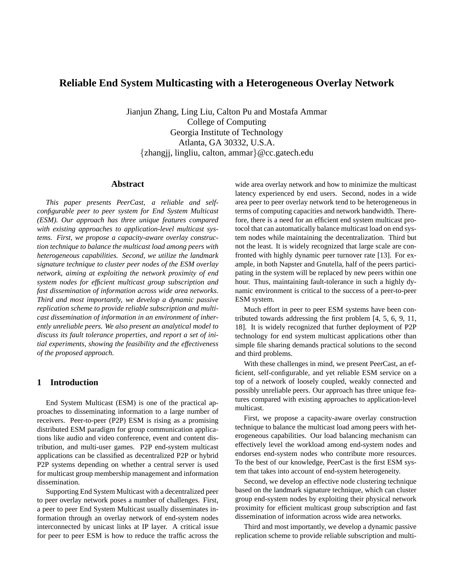# **Reliable End System Multicasting with a Heterogeneous Overlay Network**

Jianjun Zhang, Ling Liu, Calton Pu and Mostafa Ammar College of Computing Georgia Institute of Technology Atlanta, GA 30332, U.S.A. {zhangjj, lingliu, calton, ammar}@cc.gatech.edu

## **Abstract**

*This paper presents PeerCast, a reliable and selfconfigurable peer to peer system for End System Multicast (ESM). Our approach has three unique features compared with existing approaches to application-level multicast systems. First, we propose a capacity-aware overlay construction technique to balance the multicast load among peers with heterogeneous capabilities. Second, we utilize the landmark signature technique to cluster peer nodes of the ESM overlay network, aiming at exploiting the network proximity of end system nodes for efficient multicast group subscription and fast dissemination of information across wide area networks. Third and most importantly, we develop a dynamic passive replication scheme to provide reliable subscription and multicast dissemination of information in an environment of inherently unreliable peers. We also present an analytical model to discuss its fault tolerance properties, and report a set of initial experiments, showing the feasibility and the effectiveness of the proposed approach.*

## **1 Introduction**

End System Multicast (ESM) is one of the practical approaches to disseminating information to a large number of receivers. Peer-to-peer (P2P) ESM is rising as a promising distributed ESM paradigm for group communication applications like audio and video conference, event and content distribution, and multi-user games. P2P end-system multicast applications can be classified as decentralized P2P or hybrid P2P systems depending on whether a central server is used for multicast group membership management and information dissemination.

Supporting End System Multicast with a decentralized peer to peer overlay network poses a number of challenges. First, a peer to peer End System Multicast usually disseminates information through an overlay network of end-system nodes interconnected by unicast links at IP layer. A critical issue for peer to peer ESM is how to reduce the traffic across the

wide area overlay network and how to minimize the multicast latency experienced by end users. Second, nodes in a wide area peer to peer overlay network tend to be heterogeneous in terms of computing capacities and network bandwidth. Therefore, there is a need for an efficient end system multicast protocol that can automatically balance multicast load on end system nodes while maintaining the decentralization. Third but not the least. It is widely recognized that large scale are confronted with highly dynamic peer turnover rate [13]. For example, in both Napster and Gnutella, half of the peers participating in the system will be replaced by new peers within one hour. Thus, maintaining fault-tolerance in such a highly dynamic environment is critical to the success of a peer-to-peer ESM system.

Much effort in peer to peer ESM systems have been contributed towards addressing the first problem [4, 5, 6, 9, 11, 18]. It is widely recognized that further deployment of P2P technology for end system multicast applications other than simple file sharing demands practical solutions to the second and third problems.

With these challenges in mind, we present PeerCast, an efficient, self-configurable, and yet reliable ESM service on a top of a network of loosely coupled, weakly connected and possibly unreliable peers. Our approach has three unique features compared with existing approaches to application-level multicast.

First, we propose a capacity-aware overlay construction technique to balance the multicast load among peers with heterogeneous capabilities. Our load balancing mechanism can effectively level the workload among end-system nodes and endorses end-system nodes who contribute more resources. To the best of our knowledge, PeerCast is the first ESM system that takes into account of end-system heterogeneity.

Second, we develop an effective node clustering technique based on the landmark signature technique, which can cluster group end-system nodes by exploiting their physical network proximity for efficient multicast group subscription and fast dissemination of information across wide area networks.

Third and most importantly, we develop a dynamic passive replication scheme to provide reliable subscription and multi-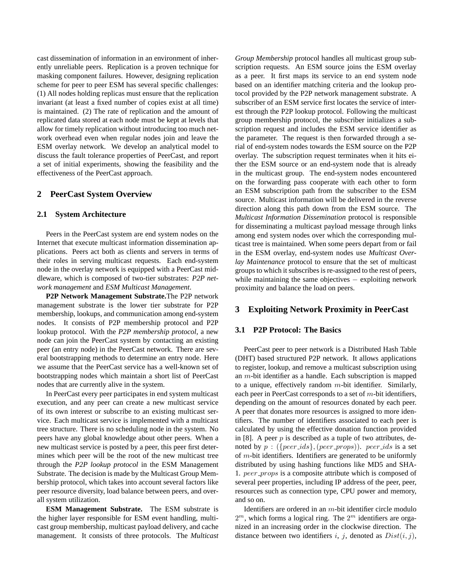cast dissemination of information in an environment of inherently unreliable peers. Replication is a proven technique for masking component failures. However, designing replication scheme for peer to peer ESM has several specific challenges: (1) All nodes holding replicas must ensure that the replication invariant (at least a fixed number of copies exist at all time) is maintained. (2) The rate of replication and the amount of replicated data stored at each node must be kept at levels that allow for timely replication without introducing too much network overhead even when regular nodes join and leave the ESM overlay network. We develop an analytical model to discuss the fault tolerance properties of PeerCast, and report a set of initial experiments, showing the feasibility and the effectiveness of the PeerCast approach.

## **2 PeerCast System Overview**

#### **2.1 System Architecture**

Peers in the PeerCast system are end system nodes on the Internet that execute multicast information dissemination applications. Peers act both as clients and servers in terms of their roles in serving multicast requests. Each end-system node in the overlay network is equipped with a PeerCast middleware, which is composed of two-tier substrates: *P2P network management* and *ESM Multicast Management*.

**P2P Network Management Substrate.**The P2P network management substrate is the lower tier substrate for P2P membership, lookups, and communication among end-system nodes. It consists of P2P membership protocol and P2P lookup protocol. With the *P2P membership protocol*, a new node can join the PeerCast system by contacting an existing peer (an entry node) in the PeerCast network. There are several bootstrapping methods to determine an entry node. Here we assume that the PeerCast service has a well-known set of bootstrapping nodes which maintain a short list of PeerCast nodes that are currently alive in the system.

In PeerCast every peer participates in end system multicast execution, and any peer can create a new multicast service of its own interest or subscribe to an existing multicast service. Each multicast service is implemented with a multicast tree structure. There is no scheduling node in the system. No peers have any global knowledge about other peers. When a new multicast service is posted by a peer, this peer first determines which peer will be the root of the new multicast tree through the *P2P lookup protocol* in the ESM Management Substrate. The decision is made by the Multicast Group Membership protocol, which takes into account several factors like peer resource diversity, load balance between peers, and overall system utilization.

**ESM Management Substrate.** The ESM substrate is the higher layer responsible for ESM event handling, multicast group membership, multicast payload delivery, and cache management. It consists of three protocols. The *Multicast*

*Group Membership* protocol handles all multicast group subscription requests. An ESM source joins the ESM overlay as a peer. It first maps its service to an end system node based on an identifier matching criteria and the lookup protocol provided by the P2P network management substrate. A subscriber of an ESM service first locates the service of interest through the P2P lookup protocol. Following the multicast group membership protocol, the subscriber initializes a subscription request and includes the ESM service identifier as the parameter. The request is then forwarded through a serial of end-system nodes towards the ESM source on the P2P overlay. The subscription request terminates when it hits either the ESM source or an end-system node that is already in the multicast group. The end-system nodes encountered on the forwarding pass cooperate with each other to form an ESM subscription path from the subscriber to the ESM source. Multicast information will be delivered in the reverse direction along this path down from the ESM source. The *Multicast Information Dissemination* protocol is responsible for disseminating a multicast payload message through links among end system nodes over which the corresponding multicast tree is maintained. When some peers depart from or fail in the ESM overlay, end-system nodes use *Multicast Overlay Maintenance* protocol to ensure that the set of multicast groups to which it subscribes is re-assigned to the rest of peers, while maintaining the same objectives − exploiting network proximity and balance the load on peers.

## **3 Exploiting Network Proximity in PeerCast**

## **3.1 P2P Protocol: The Basics**

PeerCast peer to peer network is a Distributed Hash Table (DHT) based structured P2P network. It allows applications to register, lookup, and remove a multicast subscription using an m-bit identifier as a handle. Each subscription is mapped to a unique, effectively random  $m$ -bit identifier. Similarly, each peer in PeerCast corresponds to a set of  $m$ -bit identifiers, depending on the amount of resources donated by each peer. A peer that donates more resources is assigned to more identifiers. The number of identifiers associated to each peer is calculated by using the effective donation function provided in [8]. A peer  $p$  is described as a tuple of two attributes, denoted by  $p : (\{peer\_ids\}, (peer\_props))$ .  $peer\_ids$  is a set of  $m$ -bit identifiers. Identifiers are generated to be uniformly distributed by using hashing functions like MD5 and SHA-1. peer props is a composite attribute which is composed of several peer properties, including IP address of the peer, peer, resources such as connection type, CPU power and memory, and so on.

Identifiers are ordered in an m-bit identifier circle modulo  $2<sup>m</sup>$ , which forms a logical ring. The  $2<sup>m</sup>$  identifiers are organized in an increasing order in the clockwise direction. The distance between two identifiers i, j, denoted as  $Dist(i, j)$ ,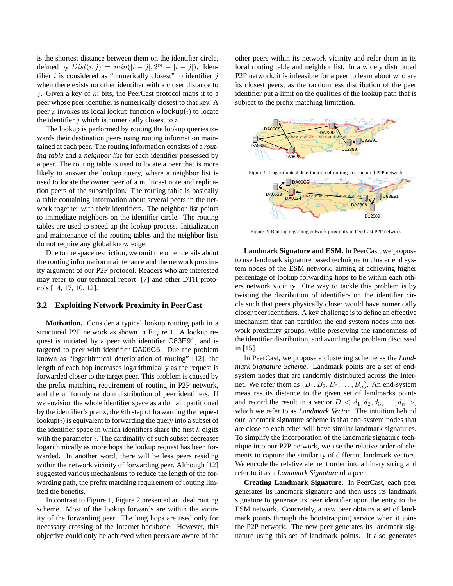is the shortest distance between them on the identifier circle, defined by  $Dist(i, j) = min(|i - j|, 2<sup>m</sup> - |i - j|)$ . Identifier  $i$  is considered as "numerically closest" to identifier  $j$ when there exists no other identifier with a closer distance to j. Given a key of  $m$  bits, the PeerCast protocol maps it to a peer whose peer identifier is numerically closest to that key. A peer p invokes its local lookup function p.lookup $(i)$  to locate the identifier  $j$  which is numerically closest to  $i$ .

The lookup is performed by routing the lookup queries towards their destination peers using routing information maintained at each peer. The routing information consists of a *routing table* and a *neighbor list* for each identifier possessed by a peer. The routing table is used to locate a peer that is more likely to answer the lookup query, where a neighbor list is used to locate the owner peer of a multicast note and replication peers of the subscription. The routing table is basically a table containing information about several peers in the network together with their identifiers. The neighbor list points to immediate neighbors on the identifier circle. The routing tables are used to speed up the lookup process. Initialization and maintenance of the routing tables and the neighbor lists do not require any global knowledge.

Due to the space restriction, we omit the other details about the routing information maintenance and the network proximity argument of our P2P protocol. Readers who are interested may refer to our technical report [7] and other DTH protocols [14, 17, 10, 12].

## **3.2 Exploiting Network Proximity in PeerCast**

**Motivation.** Consider a typical lookup routing path in a structured P2P network as shown in Figure 1. A lookup request is initiated by a peer with identifier C83E91, and is targeted to peer with identifier DA06C5. Due the problem known as "logarithmical deterioration of routing" [12], the length of each hop increases logarithmically as the request is forwarded closer to the target peer. This problem is caused by the prefix matching requirement of routing in P2P network, and the uniformly random distribution of peer identifiers. If we envision the whole identifier space as a domain partitioned by the identifier's prefix, the kth step of forwarding the request lookup $(i)$  is equivalent to forwarding the query into a subset of the identifier space in which identifiers share the first  $k$  digits with the parameter  $i$ . The cardinality of such subset decreases logarithmically as more hops the lookup request has been forwarded. In another word, there will be less peers residing within the network vicinity of forwarding peer. Although [12] suggested various mechanisms to reduce the length of the forwarding path, the prefix matching requirement of routing limited the benefits.

In contrast to Figure 1, Figure 2 presented an ideal routing scheme. Most of the lookup forwards are within the vicinity of the forwarding peer. The long hops are used only for necessary crossing of the Internet backbone. However, this objective could only be achieved when peers are aware of the

other peers within its network vicinity and refer them in its local routing table and neighbor list. In a widely distributed P2P network, it is infeasible for a peer to learn about who are its closest peers, as the randomness distribution of the peer identifier put a limit on the qualities of the lookup path that is subject to the prefix matching limitation.



Figure 2: Routing regarding network proximity in PeerCast P2P network

D<sub>12889</sub>

**Landmark Signature and ESM.** In PeerCast, we propose to use landmark signature based technique to cluster end system nodes of the ESM network, aiming at achieving higher percentage of lookup forwarding hops to be within each others network vicinity. One way to tackle this problem is by twisting the distribution of identifiers on the identifier circle such that peers physically closer would have numerically closer peer identifiers. A key challenge is to define an effective mechanism that can partition the end system nodes into network proximity groups, while preserving the randomness of the identifier distribution, and avoiding the problem discussed in [15].

In PeerCast, we propose a clustering scheme as the *Landmark Signature Scheme*. Landmark points are a set of endsystem nodes that are randomly distributed across the Internet. We refer them as  $(B_1, B_2, B_3, \ldots, B_n)$ . An end-system measures its distance to the given set of landmarks points and record the result in a vector  $D < d_1, d_2, d_3, \ldots, d_n >$ , which we refer to as *Landmark Vector*. The intuition behind our landmark signature scheme is that end-system nodes that are close to each other will have similar landmark signatures. To simplify the incorporation of the landmark signature technique into our P2P network, we use the relative order of elements to capture the similarity of different landmark vectors. We encode the relative element order into a binary string and refer to it as a *Landmark Signature* of a peer.

**Creating Landmark Signature.** In PeerCast, each peer generates its landmark signature and then uses its landmark signature to generate its peer identifier upon the entry to the ESM network. Concretely, a new peer obtains a set of landmark points through the bootstrapping service when it joins the P2P network. The new peer generates its landmark signature using this set of landmark points. It also generates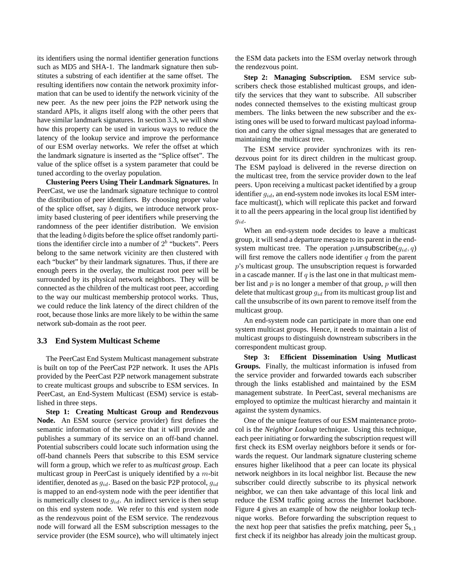its identifiers using the normal identifier generation functions such as MD5 and SHA-1. The landmark signature then substitutes a substring of each identifier at the same offset. The resulting identifiers now contain the network proximity information that can be used to identify the network vicinity of the new peer. As the new peer joins the P2P network using the standard APIs, it aligns itself along with the other peers that have similar landmark signatures. In section 3.3, we will show how this property can be used in various ways to reduce the latency of the lookup service and improve the performance of our ESM overlay networks. We refer the offset at which the landmark signature is inserted as the "Splice offset". The value of the splice offset is a system parameter that could be tuned according to the overlay population.

**Clustering Peers Using Their Landmark Signatures.** In PeerCast, we use the landmark signature technique to control the distribution of peer identifiers. By choosing proper value of the splice offset, say b digits, we introduce network proximity based clustering of peer identifiers while preserving the randomness of the peer identifier distribution. We envision that the leading b digits before the splice offset randomly partitions the identifier circle into a number of  $2<sup>b</sup>$  "buckets". Peers belong to the same network vicinity are then clustered with each "bucket" by their landmark signatures. Thus, if there are enough peers in the overlay, the multicast root peer will be surrounded by its physical network neighbors. They will be connected as the children of the multicast root peer, according to the way our multicast membership protocol works. Thus, we could reduce the link latency of the direct children of the root, because those links are more likely to be within the same network sub-domain as the root peer.

#### **3.3 End System Multicast Scheme**

The PeerCast End System Multicast management substrate is built on top of the PeerCast P2P network. It uses the APIs provided by the PeerCast P2P network management substrate to create multicast groups and subscribe to ESM services. In PeerCast, an End-System Multicast (ESM) service is established in three steps.

**Step 1: Creating Multicast Group and Rendezvous Node.** An ESM source (service provider) first defines the semantic information of the service that it will provide and publishes a summary of its service on an off-band channel. Potential subscribers could locate such information using the off-band channels Peers that subscribe to this ESM service will form a group, which we refer to as *multicast group*. Each multicast group in PeerCast is uniquely identified by a  $m$ -bit identifier, denoted as  $g_{id}$ . Based on the basic P2P protocol,  $g_{id}$ is mapped to an end-system node with the peer identifier that is numerically closest to  $g_{id}$ . An indirect service is then setup on this end system node. We refer to this end system node as the rendezvous point of the ESM service. The rendezvous node will forward all the ESM subscription messages to the service provider (the ESM source), who will ultimately inject

the ESM data packets into the ESM overlay network through the rendezvous point.

**Step 2: Managing Subscription.** ESM service subscribers check those established multicast groups, and identify the services that they want to subscribe. All subscriber nodes connected themselves to the existing multicast group members. The links between the new subscriber and the existing ones will be used to forward multicast payload information and carry the other signal messages that are generated to maintaining the multicast tree.

The ESM service provider synchronizes with its rendezvous point for its direct children in the multicast group. The ESM payload is delivered in the reverse direction on the multicast tree, from the service provider down to the leaf peers. Upon receiving a multicast packet identified by a group identifier  $g_{id}$ , an end-system node invokes its local ESM interface multicast(), which will replicate this packet and forward it to all the peers appearing in the local group list identified by  $g_{id}$ .

When an end-system node decides to leave a multicast group, it will send a departure message to its parent in the endsystem multicast tree. The operation p.unsubscribe( $q_{id}, q$ ) will first remove the callers node identifier  $q$  from the parent p's multicast group. The unsubscription request is forwarded in a cascade manner. If  $q$  is the last one in that multicast member list and  $p$  is no longer a member of that group,  $p$  will then delete that multicast group  $g_{id}$  from its multicast group list and call the unsubscribe of its own parent to remove itself from the multicast group.

An end-system node can participate in more than one end system multicast groups. Hence, it needs to maintain a list of multicast groups to distinguish downstream subscribers in the correspondent multicast group.

**Step 3: Efficient Dissemination Using Mutlicast Groups.** Finally, the multicast information is infused from the service provider and forwarded towards each subscriber through the links established and maintained by the ESM management substrate. In PeerCast, several mechanisms are employed to optimize the multicast hierarchy and maintain it against the system dynamics.

One of the unique features of our ESM maintenance protocol is the *Neighbor Lookup* technique. Using this technique, each peer initiating or forwarding the subscription request will first check its ESM overlay neighbors before it sends or forwards the request. Our landmark signature clustering scheme ensures higher likelihood that a peer can locate its physical network neighbors in its local neighbor list. Because the new subscriber could directly subscribe to its physical network neighbor, we can then take advantage of this local link and reduce the ESM traffic going across the Internet backbone. Figure 4 gives an example of how the neighbor lookup technique works. Before forwarding the subscription request to the next hop peer that satisfies the prefix matching, peer  $S_{k,1}$ first check if its neighbor has already join the multicast group.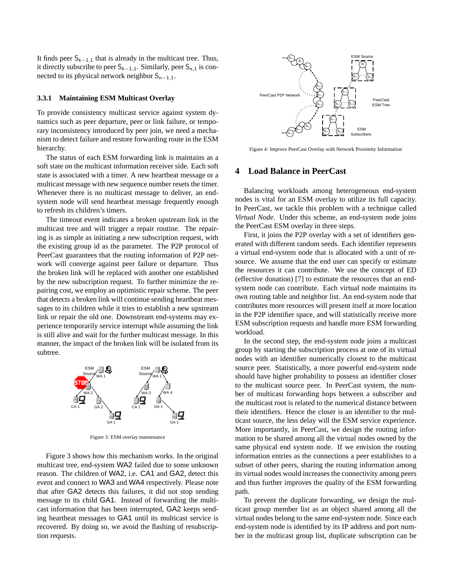It finds peer  $S_{k-1,1}$  that is already in the multicast tree. Thus, it directly subscribe to peer  $S_{k-1,1}$ . Similarly, peer  $S_{n,1}$  is connected to its physical network neighbor  $S_{n-1,1}$ .

#### **3.3.1 Maintaining ESM Multicast Overlay**

To provide consistency multicast service against system dynamics such as peer departure, peer or link failure, or temporary inconsistency introduced by peer join, we need a mechanism to detect failure and restore forwarding route in the ESM hierarchy.

The status of each ESM forwarding link is maintains as a soft state on the multicast information receiver side. Each soft state is associated with a timer. A new heartbeat message or a multicast message with new sequence number resets the timer. Whenever there is no multicast message to deliver, an endsystem node will send heartbeat message frequently enough to refresh its children's timers.

The timeout event indicates a broken upstream link in the multicast tree and will trigger a repair routine. The repairing is as simple as initiating a new subscription request, with the existing group id as the parameter. The P2P protocol of PeerCast guarantees that the routing information of P2P network will converge against peer failure or departure. Thus the broken link will be replaced with another one established by the new subscription request. To further minimize the repairing cost, we employ an optimistic repair scheme. The peer that detects a broken link will continue sending heartbeat messages to its children while it tries to establish a new upstream link or repair the old one. Downstream end-systems may experience temporarily service interrupt while assuming the link is still alive and wait for the further multicast message. In this manner, the impact of the broken link will be isolated from its subtree.



Figure 3: ESM overlay maintenance

Figure 3 shows how this mechanism works. In the original multicast tree, end-system WA2 failed due to some unknown reason. The children of WA2, i.e. CA1 and GA2, detect this event and connect to WA3 and WA4 respectively. Please note that after GA2 detects this failures, it did not stop sending message to its child GA1. Instead of forwarding the multicast information that has been interrupted, GA2 keeps sending heartbeat messages to GA1 until its multicast service is recovered. By doing so, we avoid the flashing of resubscription requests.



Figure 4: Improve PeerCast Overlay with Network Proximity Information

## **4 Load Balance in PeerCast**

Balancing workloads among heterogeneous end-system nodes is vital for an ESM overlay to utilize its full capacity. In PeerCast, we tackle this problem with a technique called *Virtual Node*. Under this scheme, an end-system node joins the PeerCast ESM overlay in three steps.

First, it joins the P2P overlay with a set of identifiers generated with different random seeds. Each identifier represents a virtual end-system node that is allocated with a unit of resource. We assume that the end user can specify or estimate the resources it can contribute. We use the concept of ED (effective donation) [7] to estimate the resources that an endsystem node can contribute. Each virtual node maintains its own routing table and neighbor list. An end-system node that contributes more resources will present itself at more location in the P2P identifier space, and will statistically receive more ESM subscription requests and handle more ESM forwarding workload.

In the second step, the end-system node joins a multicast group by starting the subscription process at one of its virtual nodes with an identifier numerically closest to the multicast source peer. Statistically, a more powerful end-system node should have higher probability to possess an identifier closer to the multicast source peer. In PeerCast system, the number of multicast forwarding hops between a subscriber and the multicast root is related to the numerical distance between their identifiers. Hence the closer is an identifier to the multicast source, the less delay will the ESM service experience. More importantly, in PeerCast, we design the routing information to be shared among all the virtual nodes owned by the same physical end system node. If we envision the routing information entries as the connections a peer establishes to a subset of other peers, sharing the routing information among its virtual nodes would increases the connectivity among peers and thus further improves the quality of the ESM forwarding path.

To prevent the duplicate forwarding, we design the multicast group member list as an object shared among all the virtual nodes belong to the same end-system node. Since each end-system node is identified by its IP address and port number in the multicast group list, duplicate subscription can be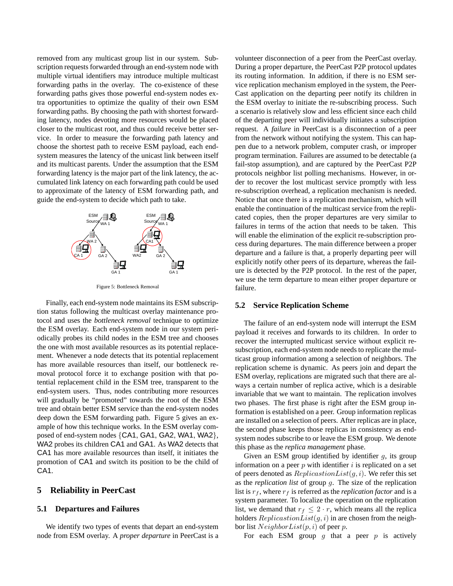removed from any multicast group list in our system. Subscription requests forwarded through an end-system node with multiple virtual identifiers may introduce multiple multicast forwarding paths in the overlay. The co-existence of these forwarding paths gives those powerful end-system nodes extra opportunities to optimize the quality of their own ESM forwarding paths. By choosing the path with shortest forwarding latency, nodes devoting more resources would be placed closer to the multicast root, and thus could receive better service. In order to measure the forwarding path latency and choose the shortest path to receive ESM payload, each endsystem measures the latency of the unicast link between itself and its multicast parents. Under the assumption that the ESM forwarding latency is the major part of the link latency, the accumulated link latency on each forwarding path could be used to approximate of the latency of ESM forwarding path, and guide the end-system to decide which path to take.



Figure 5: Bottleneck Removal

Finally, each end-system node maintains its ESM subscription status following the multicast overlay maintenance protocol and uses the *bottleneck removal* technique to optimize the ESM overlay. Each end-system node in our system periodically probes its child nodes in the ESM tree and chooses the one with most available resources as its potential replacement. Whenever a node detects that its potential replacement has more available resources than itself, our bottleneck removal protocol force it to exchange position with that potential replacement child in the ESM tree, transparent to the end-system users. Thus, nodes contributing more resources will gradually be "promoted" towards the root of the ESM tree and obtain better ESM service than the end-system nodes deep down the ESM forwarding path. Figure 5 gives an example of how this technique works. In the ESM overlay composed of end-system nodes {CA1, GA1, GA2, WA1, WA2}, WA2 probes its children CA1 and GA1. As WA2 detects that CA1 has more available resources than itself, it initiates the promotion of CA1 and switch its position to be the child of CA1.

#### **5 Reliability in PeerCast**

#### **5.1 Departures and Failures**

We identify two types of events that depart an end-system node from ESM overlay. A *proper departure* in PeerCast is a

volunteer disconnection of a peer from the PeerCast overlay. During a proper departure, the PeerCast P2P protocol updates its routing information. In addition, if there is no ESM service replication mechanism employed in the system, the Peer-Cast application on the departing peer notify its children in the ESM overlay to initiate the re-subscribing process. Such a scenario is relatively slow and less efficient since each child of the departing peer will individually initiates a subscription request. A *failure* in PeerCast is a disconnection of a peer from the network without notifying the system. This can happen due to a network problem, computer crash, or improper program termination. Failures are assumed to be detectable (a fail-stop assumption), and are captured by the PeerCast P2P protocols neighbor list polling mechanisms. However, in order to recover the lost multicast service promptly with less re-subscription overhead, a replication mechanism is needed. Notice that once there is a replication mechanism, which will enable the continuation of the multicast service from the replicated copies, then the proper departures are very similar to failures in terms of the action that needs to be taken. This will enable the elimination of the explicit re-subscription process during departures. The main difference between a proper departure and a failure is that, a properly departing peer will explicitly notify other peers of its departure, whereas the failure is detected by the P2P protocol. In the rest of the paper, we use the term departure to mean either proper departure or failure.

#### **5.2 Service Replication Scheme**

The failure of an end-system node will interrupt the ESM payload it receives and forwards to its children. In order to recover the interrupted multicast service without explicit resubscription, each end-system node needs to replicate the multicast group information among a selection of neighbors. The replication scheme is dynamic. As peers join and depart the ESM overlay, replications are migrated such that there are always a certain number of replica active, which is a desirable invariable that we want to maintain. The replication involves two phases. The first phase is right after the ESM group information is established on a peer. Group information replicas are installed on a selection of peers. After replicas are in place, the second phase keeps those replicas in consistency as endsystem nodes subscribe to or leave the ESM group. We denote this phase as the *replica management* phase.

Given an ESM group identified by identifier  $g$ , its group information on a peer  $p$  with identifier  $i$  is replicated on a set of peers denoted as  $ReplicationList(g, i)$ . We refer this set as the *replication list* of group g. The size of the replication list is  $r_f$ , where  $r_f$  is referred as the *replication factor* and is a system parameter. To localize the operation on the replication list, we demand that  $r_f \leq 2 \cdot r$ , which means all the replica holders  $ReplicationList(g, i)$  in are chosen from the neighbor list  $NeighbourList(p, i)$  of peer p.

For each ESM group  $g$  that a peer  $p$  is actively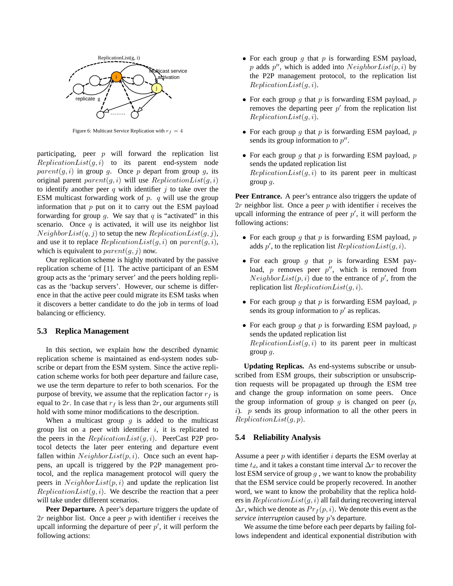

Figure 6: Multicast Service Replication with  $r_f = 4$ 

participating, peer  $p$  will forward the replication list  $ReplicationList(g, i)$  to its parent end-system node  $parent(g, i)$  in group g. Once p depart from group g, its original parent  $parent(g, i)$  will use  $ReplicationList(g, i)$ to identify another peer q with identifier  $j$  to take over the ESM multicast forwarding work of  $p$ .  $q$  will use the group information that  $p$  put on it to carry out the ESM payload forwarding for group  $q$ . We say that  $q$  is "activated" in this scenario. Once  $q$  is activated, it will use its neighbor list  $NeighbourList(q, j)$  to setup the new  $ReplicationList(q, j)$ , and use it to replace  $ReplicationList(q, i)$  on  $parent(q, i)$ , which is equivalent to  $parent(q, j)$  now.

Our replication scheme is highly motivated by the passive replication scheme of [1]. The active participant of an ESM group acts as the 'primary server' and the peers holding replicas as the 'backup servers'. However, our scheme is difference in that the active peer could migrate its ESM tasks when it discovers a better candidate to do the job in terms of load balancing or efficiency.

#### **5.3 Replica Management**

In this section, we explain how the described dynamic replication scheme is maintained as end-system nodes subscribe or depart from the ESM system. Since the active replication scheme works for both peer departure and failure case, we use the term departure to refer to both scenarios. For the purpose of brevity, we assume that the replication factor  $r_f$  is equal to  $2r$ . In case that  $r_f$  is less than  $2r$ , our arguments still hold with some minor modifications to the description.

When a multicast group  $q$  is added to the multicast group list on a peer with identifier  $i$ , it is replicated to the peers in the  $ReplicationList(g, i)$ . PeerCast P2P protocol detects the later peer entering and departure event fallen within  $NeighbourList(p, i)$ . Once such an event happens, an upcall is triggered by the P2P management protocol, and the replica management protocol will query the peers in  $NeighbourList(p, i)$  and update the replication list  $ReplicationList(g, i)$ . We describe the reaction that a peer will take under different scenarios.

**Peer Departure.** A peer's departure triggers the update of 2r neighbor list. Once a peer  $p$  with identifier  $i$  receives the upcall informing the departure of peer  $p'$ , it will perform the following actions:

- For each group q that  $p$  is forwarding ESM payload, p adds p'', which is added into  $NeighbourList(p, i)$  by the P2P management protocol, to the replication list  $ReplicationList(q, i)$ .
- For each group q that p is forwarding ESM payload, p removes the departing peer  $p'$  from the replication list  $ReplicationList(q, i)$ .
- For each group q that  $p$  is forwarding ESM payload,  $p$ sends its group information to  $p''$ .
- For each group  $g$  that  $p$  is forwarding ESM payload,  $p$ sends the updated replication list  $ReplicationList(q, i)$  to its parent peer in multicast group g.

Peer Entrance. A peer's entrance also triggers the update of 2r neighbor list. Once a peer  $p$  with identifier  $i$  receives the upcall informing the entrance of peer  $p'$ , it will perform the following actions:

- For each group q that p is forwarding ESM payload,  $p$ adds  $p'$ , to the replication list  $ReplicationList(g, i)$ .
- For each group  $g$  that  $p$  is forwarding ESM payload,  $p$  removes peer  $p''$ , which is removed from  $NeighbourList(p, i)$  due to the entrance of p', from the replication list  $ReplicationList(q, i)$ .
- For each group q that  $p$  is forwarding ESM payload,  $p$ sends its group information to  $p'$  as replicas.
- For each group  $g$  that  $p$  is forwarding ESM payload,  $p$ sends the updated replication list  $ReplicationList(g, i)$  to its parent peer in multicast group g.

**Updating Replicas.** As end-systems subscribe or unsubscribed from ESM groups, their subscription or unsubscription requests will be propagated up through the ESM tree and change the group information on some peers. Once the group information of group  $q$  is changed on peer  $(p,$  $i)$ . p sends its group information to all the other peers in  $ReplicationList(g, p).$ 

#### **5.4 Reliability Analysis**

Assume a peer  $p$  with identifier  $i$  departs the ESM overlay at time  $t_d$ , and it takes a constant time interval  $\Delta r$  to recover the lost ESM service of group  $q$ , we want to know the probability that the ESM service could be properly recovered. In another word, we want to know the probability that the replica holders in  $ReplicationList(g, i)$  all fail during recovering interval  $\Delta r$ , which we denote as  $Pr_f(p, i)$ . We denote this event as the *service interruption* caused by p's departure.

We assume the time before each peer departs by failing follows independent and identical exponential distribution with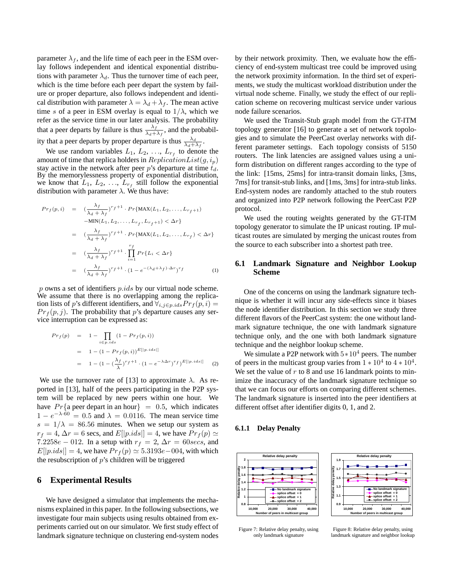parameter  $\lambda_f$ , and the life time of each peer in the ESM overlay follows independent and identical exponential distributions with parameter  $\lambda_d$ . Thus the turnover time of each peer, which is the time before each peer depart the system by failure or proper departure, also follows independent and identical distribution with parameter  $\lambda = \lambda_d + \lambda_f$ . The mean active time s of a peer in ESM overlay is equal to  $1/\lambda$ , which we refer as the service time in our later analysis. The probability that a peer departs by failure is thus  $\frac{\lambda_f}{\lambda_d + \lambda_f}$ , and the probabil-

ity that a peer departs by proper departure is thus  $\frac{\lambda_d}{\lambda_d + \lambda_f}$ .

We use random variables  $L_1, L_2, \ldots, L_{r_f}$  to denote the amount of time that replica holders in  $ReplicationList(g, i_p)$ stay active in the network after peer p's departure at time  $t_d$ . By the memorylessness property of exponential distribution, we know that  $L_1, L_2, \ldots, L_{r_f}$  still follow the exponential distribution with parameter  $\lambda$ . We thus have:

$$
Pr_f(p, i) = \left(\frac{\lambda_f}{\lambda_d + \lambda_f}\right)^{r_f + 1} \cdot Pr\{\text{MAX}(L_1, L_2, \dots, L_{r_f + 1}) -\text{MIN}(L_1, L_2, \dots, L_{r_f}, L_{r_f + 1}) < \Delta r\}
$$
\n
$$
= \left(\frac{\lambda_f}{\lambda_d + \lambda_f}\right)^{r_f + 1} \cdot Pr\{\text{MAX}(L_1, L_2, \dots, L_{r_f}) < \Delta r\}
$$
\n
$$
= \left(\frac{\lambda_f}{\lambda_d + \lambda_f}\right)^{r_f + 1} \cdot \prod_{i=1}^{r_f} Pr\{L_i < \Delta r\}
$$
\n
$$
= \left(\frac{\lambda_f}{\lambda_d + \lambda_f}\right)^{r_f + 1} \cdot \left(1 - e^{-(\lambda_d + \lambda_f) \cdot \Delta r}\right)^{r_f} \tag{1}
$$

 $p$  owns a set of identifiers  $p.ids$  by our virtual node scheme. We assume that there is no overlapping among the replication lists of p's different identifiers, and  $\forall_{i,j\in p,ids} Pr_f(p, i) =$  $Pr_f(p, j)$ . The probability that p's departure causes any service interruption can be expressed as:

$$
Pr_f(p) = 1 - \prod_{i \in p, ids} (1 - Pr_f(p, i))
$$
  
= 1 - (1 - Pr\_f(p, i))<sup>E[|p.ids|]</sup>  
= 1 - (1 - (\frac{\lambda\_f}{\lambda})^r f^{+1} \cdot (1 - e^{-\lambda \Delta r})^r f)^{E[|p.ids|]} (2)

We use the turnover rate of [13] to approximate  $\lambda$ . As reported in [13], half of the peers participating in the P2P system will be replaced by new peers within one hour. We have  $Pr{$ {a peer depart in an hour} = 0.5, which indicates  $1 - e^{-\lambda \cdot 60} = 0.5$  and  $\lambda = 0.0116$ . The mean service time  $s = 1/\lambda = 86.56$  minutes. When we setup our system as  $r_f = 4$ ,  $\Delta r = 6$  secs, and  $E[|p.ids|] = 4$ , we have  $Pr_f(p) \simeq$ 7.2258e – 012. In a setup with  $r_f = 2$ ,  $\Delta r = 60$ secs, and  $E[|p.ids|] = 4$ , we have  $Pr_f(p) \approx 5.3193e-004$ , with which the resubscription of  $p$ 's children will be triggered

## **6 Experimental Results**

We have designed a simulator that implements the mechanisms explained in this paper. In the following subsections, we investigate four main subjects using results obtained from experiments carried out on our simulator. We first study effect of landmark signature technique on clustering end-system nodes by their network proximity. Then, we evaluate how the efficiency of end-system multicast tree could be improved using the network proximity information. In the third set of experiments, we study the multicast workload distribution under the virtual node scheme. Finally, we study the effect of our replication scheme on recovering multicast service under various node failure scenarios.

We used the Transit-Stub graph model from the GT-ITM topology generator [16] to generate a set of network topologies and to simulate the PeerCast overlay networks with different parameter settings. Each topology consists of 5150 routers. The link latencies are assigned values using a uniform distribution on different ranges according to the type of the link: [15ms, 25ms] for intra-transit domain links, [3ms, 7ms] for transit-stub links, and [1ms, 3ms] for intra-stub links. End-system nodes are randomly attached to the stub routers and organized into P2P network following the PeerCast P2P protocol.

We used the routing weights generated by the GT-ITM topology generator to simulate the IP unicast routing. IP multicast routes are simulated by merging the unicast routes from the source to each subscriber into a shortest path tree.

## **6.1 Landmark Signature and Neighbor Lookup Scheme**

One of the concerns on using the landmark signature technique is whether it will incur any side-effects since it biases the node identifier distribution. In this section we study three different flavors of the PeerCast system: the one without landmark signature technique, the one with landmark signature technique only, and the one with both landmark signature technique and the neighbor lookup scheme.

We simulate a P2P network with  $5*10^4$  peers. The number of peers in the multicast group varies from  $1 * 10^4$  to  $4 * 10^4$ . We set the value of  $r$  to 8 and use 16 landmark points to minimize the inaccuracy of the landmark signature technique so that we can focus our efforts on comparing different schemes. The landmark signature is inserted into the peer identifiers at different offset after identifier digits 0, 1, and 2.

#### **6.1.1 Delay Penalty**





Figure 7: Relative delay penalty, using only landmark signature

Figure 8: Relative delay penalty, using landmark signature and neighbor lookup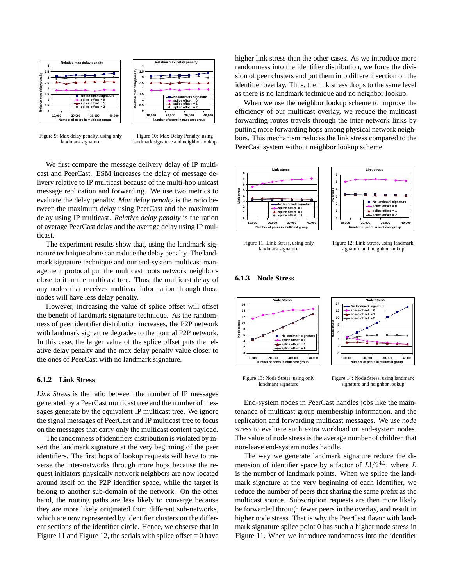



Figure 9: Max delay penalty, using only landmark signature

Figure 10: Max Delay Penalty, using landmark signature and neighbor lookup

We first compare the message delivery delay of IP multicast and PeerCast. ESM increases the delay of message delivery relative to IP multicast because of the multi-hop unicast message replication and forwarding. We use two metrics to evaluate the delay penalty. *Max delay penalty* is the ratio between the maximum delay using PeerCast and the maximum delay using IP multicast. *Relative delay penalty* is the ration of average PeerCast delay and the average delay using IP multicast.

The experiment results show that, using the landmark signature technique alone can reduce the delay penalty. The landmark signature technique and our end-system multicast management protocol put the multicast roots network neighbors close to it in the multicast tree. Thus, the multicast delay of any nodes that receives multicast information through those nodes will have less delay penalty.

However, increasing the value of splice offset will offset the benefit of landmark signature technique. As the randomness of peer identifier distribution increases, the P2P network with landmark signature degrades to the normal P2P network. In this case, the larger value of the splice offset puts the relative delay penalty and the max delay penalty value closer to the ones of PeerCast with no landmark signature.

#### **6.1.2 Link Stress**

*Link Stress* is the ratio between the number of IP messages generated by a PeerCast multicast tree and the number of messages generate by the equivalent IP multicast tree. We ignore the signal messages of PeerCast and IP multicast tree to focus on the messages that carry only the multicast content payload.

The randomness of identifiers distribution is violated by insert the landmark signature at the very beginning of the peer identifiers. The first hops of lookup requests will have to traverse the inter-networks through more hops because the request initiators physically network neighbors are now located around itself on the P2P identifier space, while the target is belong to another sub-domain of the network. On the other hand, the routing paths are less likely to converge because they are more likely originated from different sub-networks, which are now represented by identifier clusters on the different sections of the identifier circle. Hence, we observe that in Figure 11 and Figure 12, the serials with splice offset  $= 0$  have higher link stress than the other cases. As we introduce more randomness into the identifier distribution, we force the division of peer clusters and put them into different section on the identifier overlay. Thus, the link stress drops to the same level as there is no landmark technique and no neighbor lookup.

When we use the neighbor lookup scheme to improve the efficiency of our multicast overlay, we reduce the multicast forwarding routes travels through the inter-network links by putting more forwarding hops among physical network neighbors. This mechanism reduces the link stress compared to the PeerCast system without neighbor lookup scheme.



Figure 11: Link Stress, using only landmark signature

Figure 12: Link Stress, using landmark signature and neighbor lookup

#### **6.1.3 Node Stress**



Figure 13: Node Stress, using only landmark signature

Figure 14: Node Stress, using landmark signature and neighbor lookup

End-system nodes in PeerCast handles jobs like the maintenance of multicast group membership information, and the replication and forwarding multicast messages. We use *node stress* to evaluate such extra workload on end-system nodes. The value of node stress is the average number of children that non-leave end-system nodes handle.

The way we generate landmark signature reduce the dimension of identifier space by a factor of  $L!/2^{4L}$ , where  $L$ is the number of landmark points. When we splice the landmark signature at the very beginning of each identifier, we reduce the number of peers that sharing the same prefix as the multicast source. Subscription requests are then more likely be forwarded through fewer peers in the overlay, and result in higher node stress. That is why the PeerCast flavor with landmark signature splice point 0 has such a higher node stress in Figure 11. When we introduce randomness into the identifier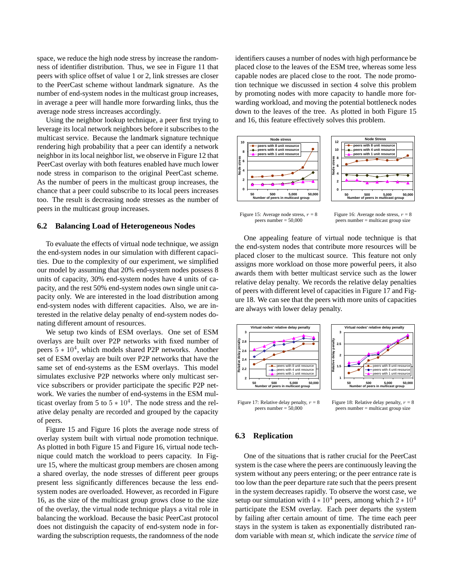space, we reduce the high node stress by increase the randomness of identifier distribution. Thus, we see in Figure 11 that peers with splice offset of value 1 or 2, link stresses are closer to the PeerCast scheme without landmark signature. As the number of end-system nodes in the multicast group increases, in average a peer will handle more forwarding links, thus the average node stress increases accordingly.

Using the neighbor lookup technique, a peer first trying to leverage its local network neighbors before it subscribes to the multicast service. Because the landmark signature technique rendering high probability that a peer can identify a network neighbor in its local neighbor list, we observe in Figure 12 that PeerCast overlay with both features enabled have much lower node stress in comparison to the original PeerCast scheme. As the number of peers in the multicast group increases, the chance that a peer could subscribe to its local peers increases too. The result is decreasing node stresses as the number of peers in the multicast group increases.

#### **6.2 Balancing Load of Heterogeneous Nodes**

To evaluate the effects of virtual node technique, we assign the end-system nodes in our simulation with different capacities. Due to the complexity of our experiment, we simplified our model by assuming that 20% end-system nodes possess 8 units of capacity, 30% end-system nodes have 4 units of capacity, and the rest 50% end-system nodes own single unit capacity only. We are interested in the load distribution among end-system nodes with different capacities. Also, we are interested in the relative delay penalty of end-system nodes donating different amount of resources.

We setup two kinds of ESM overlays. One set of ESM overlays are built over P2P networks with fixed number of peers  $5 * 10<sup>4</sup>$ , which models shared P2P networks. Another set of ESM overlay are built over P2P networks that have the same set of end-systems as the ESM overlays. This model simulates exclusive P2P networks where only multicast service subscribers or provider participate the specific P2P network. We varies the number of end-systems in the ESM multicast overlay from 5 to  $5 * 10<sup>4</sup>$ . The node stress and the relative delay penalty are recorded and grouped by the capacity of peers.

Figure 15 and Figure 16 plots the average node stress of overlay system built with virtual node promotion technique. As plotted in both Figure 15 and Figure 16, virtual node technique could match the workload to peers capacity. In Figure 15, where the multicast group members are chosen among a shared overlay, the node stresses of different peer groups present less significantly differences because the less endsystem nodes are overloaded. However, as recorded in Figure 16, as the size of the multicast group grows close to the size of the overlay, the virtual node technique plays a vital role in balancing the workload. Because the basic PeerCast protocol does not distinguish the capacity of end-system node in forwarding the subscription requests, the randomness of the node identifiers causes a number of nodes with high performance be placed close to the leaves of the ESM tree, whereas some less capable nodes are placed close to the root. The node promotion technique we discussed in section 4 solve this problem by promoting nodes with more capacity to handle more forwarding workload, and moving the potential bottleneck nodes down to the leaves of the tree. As plotted in both Figure 15 and 16, this feature effectively solves this problem.



Figure 15: Average node stress,  $r = 8$ peers number = 50,000

Figure 16: Average node stress,  $r = 8$ peers number = multicast group size

One appealing feature of virtual node technique is that the end-system nodes that contribute more resources will be placed closer to the multicast source. This feature not only assigns more workload on those more powerful peers, it also awards them with better multicast service such as the lower relative delay penalty. We records the relative delay penalties of peers with different level of capacities in Figure 17 and Figure 18. We can see that the peers with more units of capacities are always with lower delay penalty.



peers number = 50,000

Figure 18: Relative delay penalty,  $r = 8$ peers number = multicast group size

### **6.3 Replication**

One of the situations that is rather crucial for the PeerCast system is the case where the peers are continuously leaving the system without any peers entering; or the peer entrance rate is too low than the peer departure rate such that the peers present in the system decreases rapidly. To observe the worst case, we setup our simulation with  $4 \times 10^4$  peers, among which  $2 \times 10^4$ participate the ESM overlay. Each peer departs the system by failing after certain amount of time. The time each peer stays in the system is taken as exponentially distributed random variable with mean *st*, which indicate the *service time* of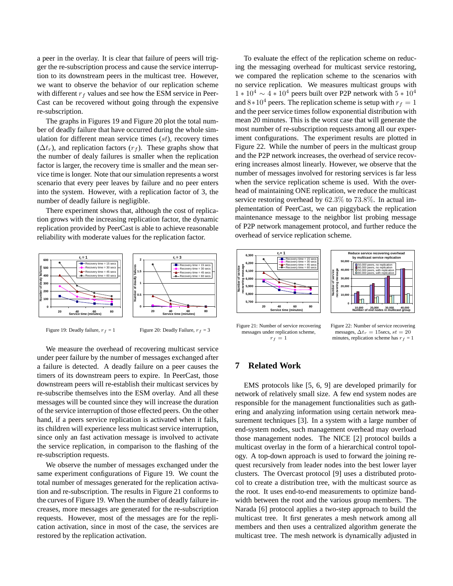a peer in the overlay. It is clear that failure of peers will trigger the re-subscription process and cause the service interruption to its downstream peers in the multicast tree. However, we want to observe the behavior of our replication scheme with different  $r_f$  values and see how the ESM service in Peer-Cast can be recovered without going through the expensive re-subscription.

The graphs in Figures 19 and Figure 20 plot the total number of deadly failure that have occurred during the whole simulation for different mean service times  $(st)$ , recovery times  $(\Delta t_r)$ , and replication factors  $(r_f)$ . These graphs show that the number of dealy failures is smaller when the replication factor is larger, the recovery time is smaller and the mean service time is longer. Note that our simulation represents a worst scenario that every peer leaves by failure and no peer enters into the system. However, with a replication factor of 3, the number of deadly failure is negligible.

There experiment shows that, although the cost of replication grows with the increasing replication factor, the dynamic replication provided by PeerCast is able to achieve reasonable reliability with moderate values for the replication factor.



We measure the overhead of recovering multicast service under peer failure by the number of messages exchanged after a failure is detected. A deadly failure on a peer causes the timers of its downstream peers to expire. In PeerCast, those downstream peers will re-establish their multicast services by re-subscribe themselves into the ESM overlay. And all these messages will be counted since they will increase the duration of the service interruption of those effected peers. On the other hand, if a peers service replication is activated when it fails, its children will experience less multicast service interruption, since only an fast activation message is involved to activate the service replication, in comparison to the flashing of the re-subscription requests.

We observe the number of messages exchanged under the same experiment configurations of Figure 19. We count the total number of messages generated for the replication activation and re-subscription. The results in Figure 21 conforms to the curves of Figure 19. When the number of deadly failure increases, more messages are generated for the re-subscription requests. However, most of the messages are for the replication activation, since in most of the case, the services are restored by the replication activation.

To evaluate the effect of the replication scheme on reducing the messaging overhead for multicast service restoring, we compared the replication scheme to the scenarios with no service replication. We measures multicast groups with  $1 * 10<sup>4</sup> \sim 4 * 10<sup>4</sup>$  peers built over P2P network with  $5 * 10<sup>4</sup>$ and  $8*10<sup>4</sup>$  peers. The replication scheme is setup with  $r_f = 1$ and the peer service times follow exponential distribution with mean 20 minutes. This is the worst case that will generate the most number of re-subscription requests among all our experiment configurations. The experiment results are plotted in Figure 22. While the number of peers in the multicast group and the P2P network increases, the overhead of service recovering increases almost linearly. However, we observe that the number of messages involved for restoring services is far less when the service replication scheme is used. With the overhead of maintaining ONE replication, we reduce the multicast service restoring overhead by 62.3% to 73.8%. In actual implementation of PeerCast, we can piggyback the replication maintenance message to the neighbor list probing message of P2P network management protocol, and further reduce the overhead of service replication scheme.



 $r_f = 1$ 



**Reduce service recovering overhead** 

Figure 22: Number of service recovering messages,  $\Delta t_r = 15$ secs,  $st = 20$ minutes, replication scheme has  $r_f = 1$ 

## **7 Related Work**

EMS protocols like [5, 6, 9] are developed primarily for network of relatively small size. A few end system nodes are responsible for the management functionalities such as gathering and analyzing information using certain network measurement techniques [3]. In a system with a large number of end-system nodes, such management overhead may overload those management nodes. The NICE [2] protocol builds a multicast overlay in the form of a hierarchical control topology. A top-down approach is used to forward the joining request recursively from leader nodes into the best lower layer clusters. The Overcast protocol [9] uses a distributed protocol to create a distribution tree, with the multicast source as the root. It uses end-to-end measurements to optimize bandwidth between the root and the various group members. The Narada [6] protocol applies a two-step approach to build the multicast tree. It first generates a mesh network among all members and then uses a centralized algorithm generate the multicast tree. The mesh network is dynamically adjusted in